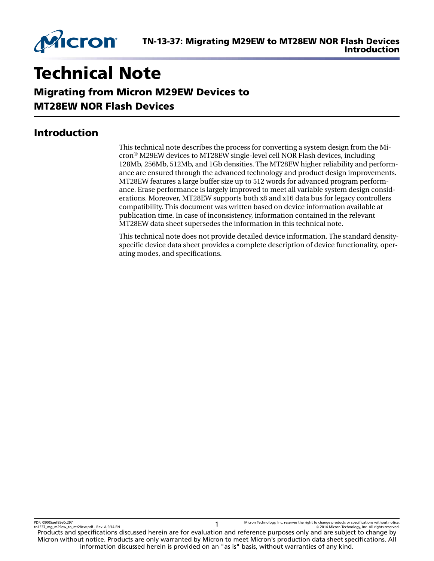

# Technical Note

Migrating from Micron M29EW Devices to MT28EW NOR Flash Devices

# Introduction

This technical note describes the process for converting a system design from the Micron® M29EW devices to MT28EW single-level cell NOR Flash devices, including 128Mb, 256Mb, 512Mb, and 1Gb densities. The MT28EW higher reliability and performance are ensured through the advanced technology and product design improvements. MT28EW features a large buffer size up to 512 words for advanced program performance. Erase performance is largely improved to meet all variable system design considerations. Moreover, MT28EW supports both x8 and x16 data bus for legacy controllers compatibility. This document was written based on device information available at publication time. In case of inconsistency, information contained in the relevant MT28EW data sheet supersedes the information in this technical note.

This technical note does not provide detailed device information. The standard densityspecific device data sheet provides a complete description of device functionality, operating modes, and specifications.

PDF: 09005aef85e0c297 PDF: 09005aef85e0c297<br>tn1337\_mg\_m29ew\_to\_mt28ew.pdf - Rev. A 9/14 EN 1999 PDF 1999 PDF 1999 PDF 1999 PDF 1999 PDF 1999 PDF 1999 PDF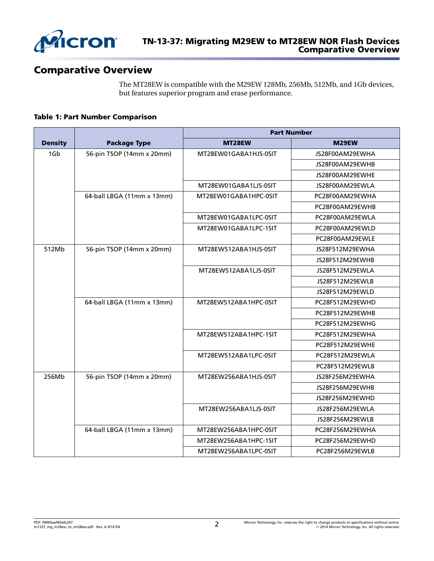

# Comparative Overview

The MT28EW is compatible with the M29EW 128Mb, 256Mb, 512Mb, and 1Gb devices, but features superior program and erase performance.

#### Table 1: Part Number Comparison

|                |                            | <b>Part Number</b>    |                 |  |  |
|----------------|----------------------------|-----------------------|-----------------|--|--|
| <b>Density</b> | <b>Package Type</b>        | MT28EW                | M29EW           |  |  |
| 1Gb            | 56-pin TSOP (14mm x 20mm)  | MT28EW01GABA1HJS-0SIT | JS28F00AM29EWHA |  |  |
|                |                            |                       | JS28F00AM29EWHB |  |  |
|                |                            |                       | JS28F00AM29EWHE |  |  |
|                |                            | MT28EW01GABA1LJS-0SIT | JS28F00AM29EWLA |  |  |
|                | 64-ball LBGA (11mm x 13mm) | MT28EW01GABA1HPC-0SIT | PC28F00AM29EWHA |  |  |
|                |                            |                       | PC28F00AM29EWHB |  |  |
|                |                            | MT28EW01GABA1LPC-0SIT | PC28F00AM29EWLA |  |  |
|                |                            | MT28EW01GABA1LPC-1SIT | PC28F00AM29EWLD |  |  |
|                |                            |                       | PC28F00AM29EWLE |  |  |
| 512Mb          | 56-pin TSOP (14mm x 20mm)  | MT28EW512ABA1HJS-0SIT | JS28F512M29EWHA |  |  |
|                |                            |                       | JS28F512M29EWHB |  |  |
|                |                            | MT28EW512ABA1LJS-0SIT | JS28F512M29EWLA |  |  |
|                |                            |                       | JS28F512M29EWLB |  |  |
|                |                            |                       | JS28F512M29EWLD |  |  |
|                | 64-ball LBGA (11mm x 13mm) | MT28EW512ABA1HPC-0SIT | PC28F512M29EWHD |  |  |
|                |                            |                       | PC28F512M29EWHB |  |  |
|                |                            |                       | PC28F512M29EWHG |  |  |
|                |                            | MT28EW512ABA1HPC-1SIT | PC28F512M29EWHA |  |  |
|                |                            |                       | PC28F512M29EWHE |  |  |
|                |                            | MT28EW512ABA1LPC-0SIT | PC28F512M29EWLA |  |  |
|                |                            |                       | PC28F512M29EWLB |  |  |
| 256Mb          | 56-pin TSOP (14mm x 20mm)  | MT28EW256ABA1HJS-0SIT | JS28F256M29EWHA |  |  |
|                |                            |                       | JS28F256M29EWHB |  |  |
|                |                            |                       | JS28F256M29EWHD |  |  |
|                |                            | MT28EW256ABA1LJS-0SIT | JS28F256M29EWLA |  |  |
|                |                            |                       | JS28F256M29EWLB |  |  |
|                | 64-ball LBGA (11mm x 13mm) | MT28EW256ABA1HPC-0SIT | PC28F256M29EWHA |  |  |
|                |                            | MT28EW256ABA1HPC-1SIT | PC28F256M29EWHD |  |  |
|                |                            | MT28EW256ABA1LPC-0SIT | PC28F256M29EWLB |  |  |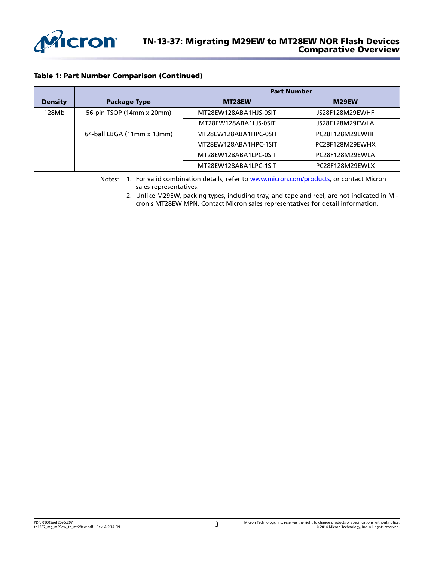

#### Table 1: Part Number Comparison (Continued)

|                |                            | <b>Part Number</b>    |                 |  |  |  |
|----------------|----------------------------|-----------------------|-----------------|--|--|--|
| <b>Density</b> | <b>Package Type</b>        | MT28EW                | M29EW           |  |  |  |
| 128Mb          | 56-pin TSOP (14mm x 20mm)  | MT28EW128ABA1HJS-0SIT | JS28F128M29EWHF |  |  |  |
|                |                            | MT28EW128ABA1LJS-0SIT | JS28F128M29EWLA |  |  |  |
|                | 64-ball LBGA (11mm x 13mm) | MT28EW128ABA1HPC-0SIT | PC28F128M29EWHF |  |  |  |
|                |                            | MT28EW128ABA1HPC-1SIT | PC28F128M29EWHX |  |  |  |
|                |                            | MT28EW128ABA1LPC-0SIT | PC28F128M29EWLA |  |  |  |
|                |                            | MT28EW128ABA1LPC-1SIT | PC28F128M29EWLX |  |  |  |

Notes: 1. For valid combination details, refer to [www.micron.com/products,](http://www.micron.com/products) or contact Micron sales representatives.

2. Unlike M29EW, packing types, including tray, and tape and reel, are not indicated in Micron's MT28EW MPN. Contact Micron sales representatives for detail information.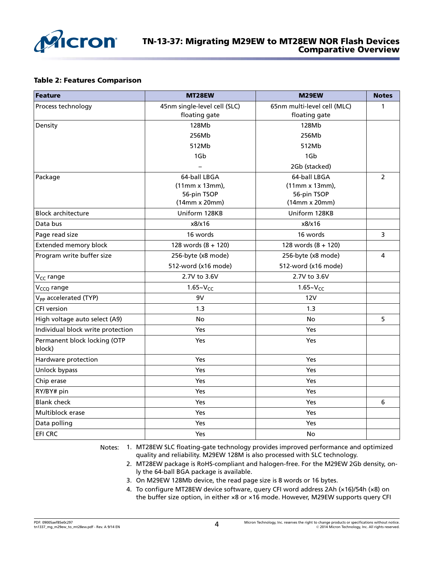

#### Table 2: Features Comparison

| Feature                                | MT28EW                       | M29EW                       | <b>Notes</b>   |  |
|----------------------------------------|------------------------------|-----------------------------|----------------|--|
| Process technology                     | 45nm single-level cell (SLC) | 65nm multi-level cell (MLC) | $\mathbf{1}$   |  |
|                                        | floating gate                | floating gate               |                |  |
| Density                                | 128Mb                        | 128Mb                       |                |  |
|                                        | 256Mb                        | 256Mb                       |                |  |
|                                        | 512Mb                        | 512Mb                       |                |  |
|                                        | 1G <sub>b</sub>              | 1Gb                         |                |  |
|                                        |                              | 2Gb (stacked)               |                |  |
| Package                                | 64-ball LBGA                 | 64-ball LBGA                | $\overline{2}$ |  |
|                                        | (11mm x 13mm),               | $(11mm \times 13mm)$ ,      |                |  |
|                                        | 56-pin TSOP                  | 56-pin TSOP                 |                |  |
|                                        | $(14mm \times 20mm)$         | $(14mm \times 20mm)$        |                |  |
| <b>Block architecture</b>              | Uniform 128KB                | Uniform 128KB               |                |  |
| Data bus                               | x8/x16                       | x8/x16                      |                |  |
| Page read size                         | 16 words                     | 16 words                    | 3              |  |
| <b>Extended memory block</b>           | 128 words $(8 + 120)$        | 128 words $(8 + 120)$       |                |  |
| Program write buffer size              | 256-byte (x8 mode)           | 256-byte (x8 mode)          | 4              |  |
|                                        | 512-word (x16 mode)          | 512-word (x16 mode)         |                |  |
| V <sub>CC</sub> range                  | 2.7V to 3.6V                 | 2.7V to 3.6V                |                |  |
| V <sub>CCQ</sub> range                 | $1.65 - VCC$                 | $1.65 - V_{CC}$             |                |  |
| V <sub>PP</sub> accelerated (TYP)      | 9V                           | 12V                         |                |  |
| <b>CFI</b> version                     | 1.3                          | 1.3                         |                |  |
| High voltage auto select (A9)          | No                           | No                          | 5              |  |
| Individual block write protection      | Yes                          | Yes                         |                |  |
| Permanent block locking (OTP<br>block) | Yes                          | Yes                         |                |  |
| Hardware protection                    | Yes                          | <b>Yes</b>                  |                |  |
| Unlock bypass                          | Yes                          | Yes                         |                |  |
| Chip erase                             | Yes                          | Yes                         |                |  |
| RY/BY# pin                             | Yes                          | Yes                         |                |  |
| <b>Blank check</b>                     | Yes                          | Yes                         | 6              |  |
| Multiblock erase                       | Yes                          | <b>Yes</b>                  |                |  |
| Data polling                           | Yes                          | Yes                         |                |  |
| <b>EFI CRC</b>                         | Yes                          | No                          |                |  |

Notes: 1. MT28EW SLC floating-gate technology provides improved performance and optimized quality and reliability. M29EW 128M is also processed with SLC technology.

- 2. MT28EW package is RoHS-compliant and halogen-free. For the M29EW 2Gb density, only the 64-ball BGA package is available.
- 3. On M29EW 128Mb device, the read page size is 8 words or 16 bytes.
- 4. To configure MT28EW device software, query CFI word address 2Ah (×16)/54h (×8) on the buffer size option, in either ×8 or ×16 mode. However, M29EW supports query CFI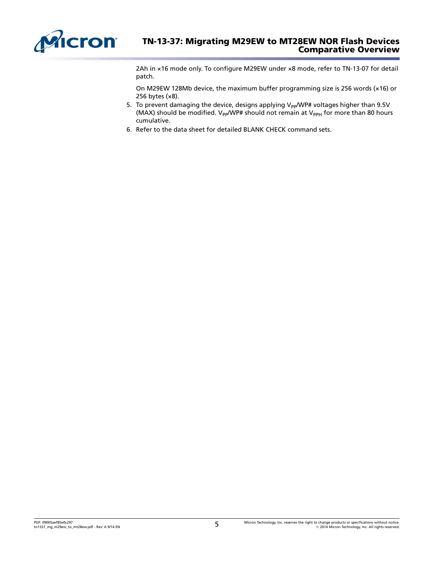

2Ah in ×16 mode only. To configure M29EW under ×8 mode, refer to TN-13-07 for detail patch.

On M29EW 128Mb device, the maximum buffer programming size is 256 words (×16) or 256 bytes (×8).

- 5. To prevent damaging the device, designs applying  $V_{PP}/W$ P# voltages higher than 9.5V (MAX) should be modified.  $V_{PP}/WP\#$  should not remain at  $V_{PPH}$  for more than 80 hours cumulative.
- 6. Refer to the data sheet for detailed BLANK CHECK command sets.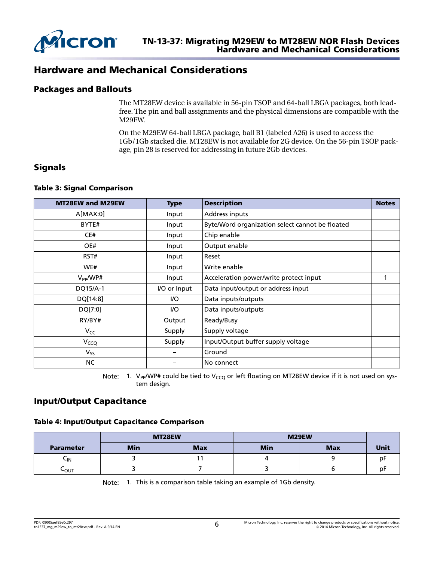

# Hardware and Mechanical Considerations

## Packages and Ballouts

The MT28EW device is available in 56-pin TSOP and 64-ball LBGA packages, both leadfree. The pin and ball assignments and the physical dimensions are compatible with the M29EW.

On the M29EW 64-ball LBGA package, ball B1 (labeled A26) is used to access the 1Gb/1Gb stacked die. MT28EW is not available for 2G device. On the 56-pin TSOP package, pin 28 is reserved for addressing in future 2Gb devices.

## **Signals**

#### Table 3: Signal Comparison

| MT28EW and M29EW | <b>Type</b>  | <b>Description</b>                              | <b>Notes</b> |
|------------------|--------------|-------------------------------------------------|--------------|
| A[MAX:0]         | Input        | Address inputs                                  |              |
| BYTE#            | Input        | Byte/Word organization select cannot be floated |              |
| CE#              | Input        | Chip enable                                     |              |
| OE#              | Input        | Output enable                                   |              |
| RST#             | Input        | Reset                                           |              |
| WE#              | Input        | Write enable                                    |              |
| $V_{PP}/W$ P#    | Input        | Acceleration power/write protect input          |              |
| DQ15/A-1         | I/O or Input | Data input/output or address input              |              |
| DQ[14:8]         | I/O          | Data inputs/outputs                             |              |
| DQ[7:0]          | I/O          | Data inputs/outputs                             |              |
| RY/BY#           | Output       | Ready/Busy                                      |              |
| $V_{CC}$         | Supply       | Supply voltage                                  |              |
| V <sub>CCQ</sub> | Supply       | Input/Output buffer supply voltage              |              |
| $V_{SS}$         |              | Ground                                          |              |
| NC               |              | No connect                                      |              |

Note: 1. V<sub>PP</sub>/WP# could be tied to V<sub>CCQ</sub> or left floating on MT28EW device if it is not used on system design.

## Input/Output Capacitance

#### Table 4: Input/Output Capacitance Comparison

|                  |            | MT28EW     | M29EW      |            |             |
|------------------|------------|------------|------------|------------|-------------|
| <b>Parameter</b> | <b>Min</b> | <b>Max</b> | <b>Min</b> | <b>Max</b> | <b>Unit</b> |
| ∽ιΝ              |            |            |            |            | p۲          |
| ⊾ის              |            |            |            |            | p۲          |

Note: 1. This is a comparison table taking an example of 1Gb density.

PDF: 09005aef85e0c297 tn1337\_mg\_m29ew\_to\_mt28ew.pdf - Rev. A 9/14 EN 6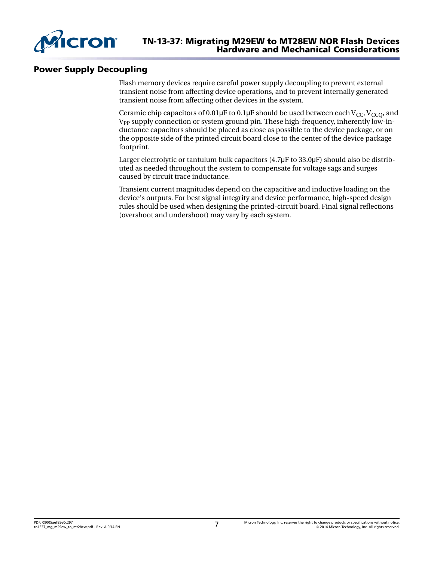

## Power Supply Decoupling

Flash memory devices require careful power supply decoupling to prevent external transient noise from affecting device operations, and to prevent internally generated transient noise from affecting other devices in the system.

Ceramic chip capacitors of 0.01 $\mu$ F to 0.1 $\mu$ F should be used between each V<sub>CC</sub>, V<sub>CCO</sub>, and V<sub>PP</sub> supply connection or system ground pin. These high-frequency, inherently low-inductance capacitors should be placed as close as possible to the device package, or on the opposite side of the printed circuit board close to the center of the device package footprint.

Larger electrolytic or tantulum bulk capacitors  $(4.7\mu\text{F}$  to  $33.0\mu\text{F})$  should also be distributed as needed throughout the system to compensate for voltage sags and surges caused by circuit trace inductance.

Transient current magnitudes depend on the capacitive and inductive loading on the device's outputs. For best signal integrity and device performance, high-speed design rules should be used when designing the printed-circuit board. Final signal reflections (overshoot and undershoot) may vary by each system.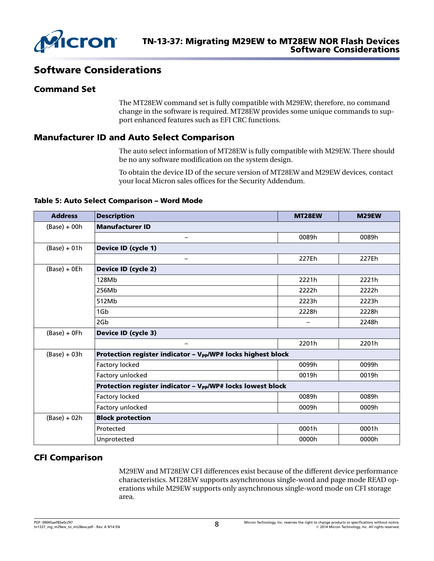

# Software Considerations

## Command Set

The MT28EW command set is fully compatible with M29EW; therefore, no command change in the software is required. MT28EW provides some unique commands to support enhanced features such as EFI CRC functions.

## Manufacturer ID and Auto Select Comparison

The auto select information of MT28EW is fully compatible with M29EW. There should be no any software modification on the system design.

To obtain the device ID of the secure version of MT28EW and M29EW devices, contact your local Micron sales offices for the Security Addendum.

#### Table 5: Auto Select Comparison – Word Mode

| <b>Address</b> | <b>Description</b>                                                       | MT28EW | M29EW |  |  |  |  |
|----------------|--------------------------------------------------------------------------|--------|-------|--|--|--|--|
| $(Base) + 00h$ | <b>Manufacturer ID</b>                                                   |        |       |  |  |  |  |
|                | $\qquad \qquad$                                                          | 0089h  | 0089h |  |  |  |  |
| $(Base) + 01h$ | <b>Device ID (cycle 1)</b>                                               |        |       |  |  |  |  |
|                | $\qquad \qquad$                                                          | 227Eh  | 227Eh |  |  |  |  |
| $(Base) + OEh$ | <b>Device ID (cycle 2)</b>                                               |        |       |  |  |  |  |
|                | 128Mb                                                                    | 2221h  | 2221h |  |  |  |  |
|                | 256Mb                                                                    | 2222h  | 2222h |  |  |  |  |
|                | 512Mb                                                                    | 2223h  | 2223h |  |  |  |  |
|                | 1Gb                                                                      | 2228h  | 2228h |  |  |  |  |
|                | 2G <sub>b</sub>                                                          |        | 2248h |  |  |  |  |
| $(Base) + OFh$ | <b>Device ID (cycle 3)</b>                                               |        |       |  |  |  |  |
|                | $\qquad \qquad$                                                          | 2201h  | 2201h |  |  |  |  |
| $(Base) + 03h$ | Protection register indicator - V <sub>PP</sub> /WP# locks highest block |        |       |  |  |  |  |
|                | Factory locked                                                           | 0099h  | 0099h |  |  |  |  |
|                | Factory unlocked                                                         | 0019h  | 0019h |  |  |  |  |
|                | Protection register indicator - V <sub>pp</sub> /WP# locks lowest block  |        |       |  |  |  |  |
|                | Factory locked                                                           | 0089h  | 0089h |  |  |  |  |
|                | Factory unlocked                                                         | 0009h  | 0009h |  |  |  |  |
| $(Base) + 02h$ | <b>Block protection</b>                                                  |        |       |  |  |  |  |
|                | Protected                                                                | 0001h  | 0001h |  |  |  |  |
|                | Unprotected                                                              | 0000h  | 0000h |  |  |  |  |

## CFI Comparison

M29EW and MT28EW CFI differences exist because of the different device performance characteristics. MT28EW supports asynchronous single-word and page mode READ operations while M29EW supports only asynchronous single-word mode on CFI storage area.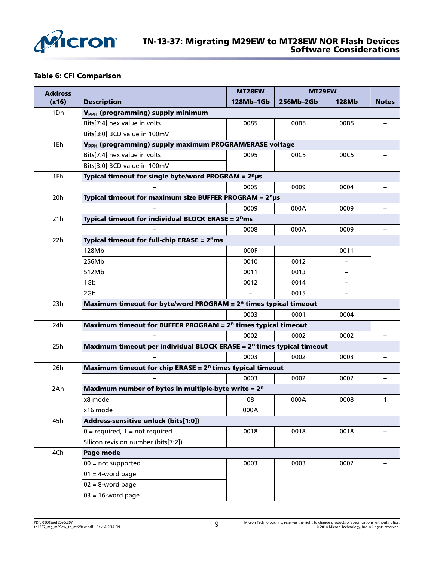

#### Table 6: CFI Comparison

| <b>Address</b> |                                                                                   | MT28EW    | MT29EW                   |                   |                          |
|----------------|-----------------------------------------------------------------------------------|-----------|--------------------------|-------------------|--------------------------|
| (x16)          | <b>Description</b>                                                                | 128Mb-1Gb | 256Mb-2Gb                | <b>128Mb</b>      | <b>Notes</b>             |
| 1Dh            | V <sub>PPH</sub> (programming) supply minimum                                     |           |                          |                   |                          |
|                | Bits[7:4] hex value in volts                                                      | 0085      | 00B5                     | 00B5              |                          |
|                | Bits[3:0] BCD value in 100mV                                                      |           |                          |                   |                          |
| 1Eh            | V <sub>PPH</sub> (programming) supply maximum PROGRAM/ERASE voltage               |           |                          |                   |                          |
|                | Bits[7:4] hex value in volts                                                      | 0095      | 00C5                     | 00C5              |                          |
|                | Bits[3:0] BCD value in 100mV                                                      |           |                          |                   |                          |
| 1Fh            | Typical timeout for single byte/word PROGRAM = $2n$ µs                            |           |                          |                   |                          |
|                |                                                                                   | 0005      | 0009                     | 0004              |                          |
| 20h            | Typical timeout for maximum size BUFFER PROGRAM = $2n \mu s$                      |           |                          |                   |                          |
|                |                                                                                   | 0009      | 000A                     | 0009              | $\qquad \qquad -$        |
| 21h            | <b>Typical timeout for individual BLOCK ERASE = <math>2^n</math>ms</b>            |           |                          |                   |                          |
|                |                                                                                   | 0008      | 000A                     | 0009              | $\overline{\phantom{0}}$ |
| 22h            | <b>Typical timeout for full-chip ERASE = <math>2nms</math></b>                    |           |                          |                   |                          |
|                | 128Mb                                                                             | 000F      | $\overline{\phantom{0}}$ | 0011              |                          |
|                | 256Mb                                                                             | 0010      | 0012                     |                   |                          |
|                | 512Mb                                                                             | 0011      | 0013                     |                   |                          |
|                | 1Gb                                                                               | 0012      | 0014                     | $\qquad \qquad -$ |                          |
|                | 2Gb                                                                               |           | 0015                     |                   |                          |
| 23h            | Maximum timeout for byte/word PROGRAM = $2n$ times typical timeout                |           |                          |                   |                          |
|                |                                                                                   | 0003      | 0001                     | 0004              |                          |
| 24h            | Maximum timeout for BUFFER PROGRAM = $2n$ times typical timeout                   |           |                          |                   |                          |
|                |                                                                                   | 0002      | 0002                     | 0002              | $\overline{\phantom{0}}$ |
| 25h            | Maximum timeout per individual BLOCK ERASE = 2 <sup>n</sup> times typical timeout |           |                          |                   |                          |
|                |                                                                                   | 0003      | 0002                     | 0003              |                          |
| 26h            | Maximum timeout for chip ERASE = $2n$ times typical timeout                       |           |                          |                   |                          |
|                |                                                                                   | 0003      | 0002                     | 0002              | $\overline{\phantom{0}}$ |
| 2Ah            | Maximum number of bytes in multiple-byte write = $2n$                             |           |                          |                   |                          |
|                | x8 mode                                                                           | 08        | 000A                     | 0008              | 1                        |
|                | x16 mode                                                                          | 000A      |                          |                   |                          |
| 45h            | Address-sensitive unlock (bits[1:0])                                              |           |                          |                   |                          |
|                | $0 = required$ , 1 = not required                                                 | 0018      | 0018                     | 0018              |                          |
|                | Silicon revision number (bits[7:2])                                               |           |                          |                   |                          |
| 4Ch            | Page mode                                                                         |           |                          |                   |                          |
|                | $00 = not supported$                                                              | 0003      | 0003                     | 0002              |                          |
|                | $01 = 4$ -word page                                                               |           |                          |                   |                          |
|                | $02 = 8$ -word page                                                               |           |                          |                   |                          |
|                | $03 = 16$ -word page                                                              |           |                          |                   |                          |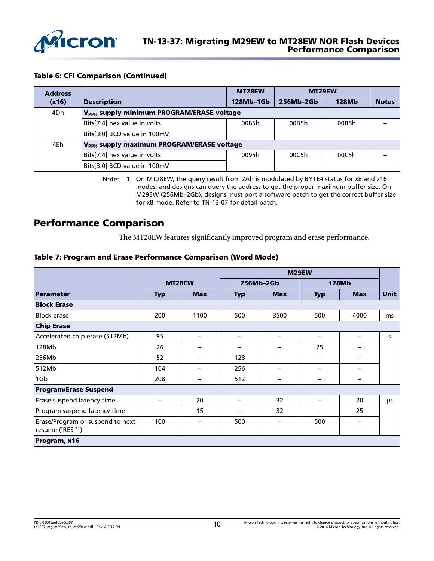

#### Table 6: CFI Comparison (Continued)

| <b>Address</b> |                                                       | MT28EW    |           | MT29EW       |              |
|----------------|-------------------------------------------------------|-----------|-----------|--------------|--------------|
| (x16)          | <b>Description</b>                                    | 128Mb-1Gb | 256Mb-2Gb | <b>128Mb</b> | <b>Notes</b> |
| 4Dh            | V <sub>PPH</sub> supply minimum PROGRAM/ERASE voltage |           |           |              |              |
|                | Bits[7:4] hex value in volts                          | 0085h     | 00B5h     | 00B5h        |              |
|                | Bits[3:0] BCD value in 100mV                          |           |           |              |              |
| 4Eh            | V <sub>PPH</sub> supply maximum PROGRAM/ERASE voltage |           |           |              |              |
|                | Bits[7:4] hex value in volts                          | 0095h     | 00C5h     | 00C5h        |              |
|                | Bits[3:0] BCD value in 100mV                          |           |           |              |              |

Note: 1. On MT28EW, the query result from 2Ah is modulated by BYTE# status for x8 and x16 modes, and designs can query the address to get the proper maximum buffer size. On M29EW (256Mb–2Gb), designs must port a software patch to get the correct buffer size for x8 mode. Refer to TN-13-07 for detail patch.

# Performance Comparison

The MT28EW features significantly improved program and erase performance.

#### Table 7: Program and Erase Performance Comparison (Word Mode)

|                                                      |            |            |            |                          | M29EW                    |                          |             |
|------------------------------------------------------|------------|------------|------------|--------------------------|--------------------------|--------------------------|-------------|
|                                                      |            | MT28EW     |            | 256Mb-2Gb                |                          | <b>128Mb</b>             |             |
| <b>Parameter</b>                                     | <b>Typ</b> | <b>Max</b> | <b>Typ</b> | <b>Max</b>               | <b>Typ</b>               | <b>Max</b>               | <b>Unit</b> |
| <b>Block Erase</b>                                   |            |            |            |                          |                          |                          |             |
| <b>Block erase</b>                                   | 200        | 1100       | 500        | 3500                     | 500                      | 4000                     | ms          |
| <b>Chip Erase</b>                                    |            |            |            |                          |                          |                          |             |
| Accelerated chip erase (512Mb)                       | 95         |            |            | $\overline{\phantom{0}}$ | —                        | —                        | s.          |
| 128Mb                                                | 26         | —          |            | $\overline{\phantom{0}}$ | 25                       |                          |             |
| 256Mb                                                | 52         |            | 128        | —                        | $\overline{\phantom{m}}$ |                          |             |
| 512Mb                                                | 104        |            | 256        | $\overline{\phantom{0}}$ | $\overline{\phantom{m}}$ | —                        |             |
| 1Gb                                                  | 208        | —          | 512        | —                        | $\overline{\phantom{m}}$ | —                        |             |
| <b>Program/Erase Suspend</b>                         |            |            |            |                          |                          |                          |             |
| Erase suspend latency time                           |            | 20         |            | 32                       | —                        | 20                       | μs          |
| Program suspend latency time                         |            | 15         |            | 32                       | —                        | 25                       |             |
| Erase/Program or suspend to next<br>resume (tRES *1) | 100        | —          | 500        | —                        | 500                      | $\overline{\phantom{0}}$ |             |
| Program, x16                                         |            |            |            |                          |                          |                          |             |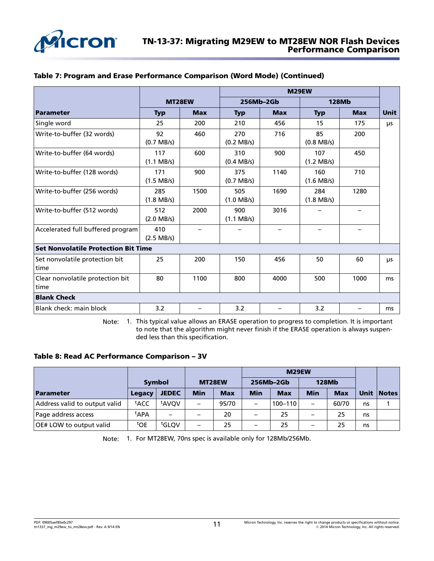

|                                            |                             |                   | M29EW                       |                 |                             |                   |             |
|--------------------------------------------|-----------------------------|-------------------|-----------------------------|-----------------|-----------------------------|-------------------|-------------|
|                                            | MT28EW                      |                   |                             | 256Mb-2Gb       |                             | <b>128Mb</b>      |             |
| Parameter                                  | <b>Max</b><br><b>Typ</b>    |                   | <b>Typ</b>                  | <b>Max</b>      |                             | <b>Max</b>        | <b>Unit</b> |
| Single word                                | 25                          | 200               | 210                         | 456             | 15                          | 175               | μs          |
| Write-to-buffer (32 words)                 | 92<br>$(0.7 \text{ MB/s})$  | 460               | 270<br>$(0.2$ MB/s)         | 716             | 85<br>$(0.8$ MB/s)          | 200               |             |
| Write-to-buffer (64 words)                 | 117<br>$(1.1 \text{ MB/s})$ | 600               | 310<br>$(0.4$ MB/s)         | 900             | 107<br>$(1.2 \text{ MB/s})$ | 450               |             |
| Write-to-buffer (128 words)                | 171<br>$(1.5 \text{ MB/s})$ | 900               | 375<br>$(0.7 \text{ MB/s})$ | 1140            | 160<br>$(1.6 \text{ MB/s})$ | 710               |             |
| Write-to-buffer (256 words)                | 285<br>$(1.8$ MB/s)         | 1500              | 505<br>$(1.0 \text{ MB/s})$ | 1690            | 284<br>$(1.8 \text{ MB/s})$ | 1280              |             |
| Write-to-buffer (512 words)                | 512<br>$(2.0$ MB/s)         | 2000              | 900<br>$(1.1 \text{ MB/s})$ | 3016            |                             |                   |             |
| Accelerated full buffered program          | 410<br>$(2.5 \text{ MB/s})$ | $\qquad \qquad -$ |                             | $\qquad \qquad$ |                             | $\qquad \qquad -$ |             |
| <b>Set Nonvolatile Protection Bit Time</b> |                             |                   |                             |                 |                             |                   |             |
| Set nonvolatile protection bit<br>time     | 25                          | 200               | 150                         | 456             | 50                          | 60                | μs          |
| Clear nonvolatile protection bit<br>time   | 80                          | 1100              | 800                         | 4000            | 500                         | 1000              | ms          |
| <b>Blank Check</b>                         |                             |                   |                             |                 |                             |                   |             |
| Blank check: main block                    | 3.2                         |                   | 3.2                         |                 | 3.2                         | —                 | ms          |

#### Table 7: Program and Erase Performance Comparison (Word Mode) (Continued)

Note: 1. This typical value allows an ERASE operation to progress to completion. It is important to note that the algorithm might never finish if the ERASE operation is always suspended less than this specification.

#### Table 8: Read AC Performance Comparison – 3V

|                                |                 |                   |                          |            | M29EW      |             |              |            |      |              |
|--------------------------------|-----------------|-------------------|--------------------------|------------|------------|-------------|--------------|------------|------|--------------|
|                                | <b>Symbol</b>   |                   | MT28EW                   |            | 256Mb-2Gb  |             | <b>128Mb</b> |            |      |              |
| Parameter                      | Legacy          | <b>JEDEC</b>      | <b>Min</b>               | <b>Max</b> | <b>Min</b> | <b>Max</b>  | Min          | <b>Max</b> | Unit | <b>Notes</b> |
| Address valid to output valid  | tACC            | <sup>t</sup> AVOV |                          | 95/70      |            | $100 - 110$ |              | 60/70      | ns   |              |
| Page address access            | t APA           |                   |                          | 20         |            | 25          |              | 25         | ns   |              |
| <b>OE# LOW to output valid</b> | <sup>t</sup> OE | tGLOV             | $\overline{\phantom{0}}$ | 25         |            | 25          |              | 25         | ns   |              |

Note: 1. For MT28EW, 70ns spec is available only for 128Mb/256Mb.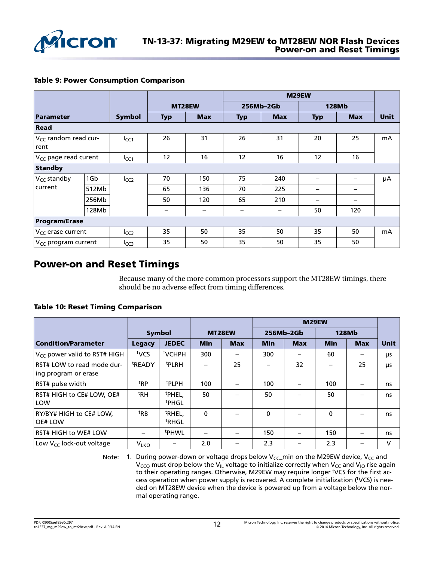

|  |  | <b>Table 9: Power Consumption Comparison</b> |  |
|--|--|----------------------------------------------|--|
|--|--|----------------------------------------------|--|

|                                               |       |                  |                          |                          |                                   |                          | M29EW      |            |             |  |
|-----------------------------------------------|-------|------------------|--------------------------|--------------------------|-----------------------------------|--------------------------|------------|------------|-------------|--|
|                                               |       | MT28EW           |                          | 256Mb-2Gb                |                                   | <b>128Mb</b>             |            |            |             |  |
| Parameter                                     |       | <b>Symbol</b>    | <b>Typ</b>               | <b>Max</b>               | <b>Typ</b>                        | <b>Max</b>               | <b>Typ</b> | <b>Max</b> | <b>Unit</b> |  |
| Read                                          |       |                  |                          |                          |                                   |                          |            |            |             |  |
| V <sub>CC</sub> random read cur-<br>rent      |       | $I_{CC1}$        | 26                       | 31                       | 26                                | 31                       | 20         | 25         | mA          |  |
| V <sub>CC</sub> page read curent<br>$I_{CC1}$ |       |                  | 12                       | 16                       | 12                                | 16                       | 12         | 16         |             |  |
| <b>Standby</b>                                |       |                  |                          |                          |                                   |                          |            |            |             |  |
| $V_{CC}$ standby                              | 1Gb   | I <sub>CC2</sub> | 70                       | 150                      | 75                                | 240                      |            |            | μA          |  |
| current                                       | 512Mb |                  | 65                       | 136                      | 70                                | 225                      |            |            |             |  |
|                                               | 256Mb |                  | 50                       | 120                      | 65                                | 210                      |            |            |             |  |
|                                               | 128Mb |                  | $\overline{\phantom{m}}$ | $\overline{\phantom{m}}$ | $\overbrace{\phantom{123221111}}$ | $\overline{\phantom{m}}$ | 50         | 120        |             |  |
| <b>Program/Erase</b>                          |       |                  |                          |                          |                                   |                          |            |            |             |  |
| $V_{CC}$ erase current                        |       | I <sub>CC3</sub> | 35                       | 50                       | 35                                | 50                       | 35         | 50         | mA          |  |
| V <sub>CC</sub> program current               |       | $I_{CC3}$        | 35                       | 50                       | 35                                | 50                       | 35         | 50         |             |  |

# Power-on and Reset Timings

Because many of the more common processors support the MT28EW timings, there should be no adverse effect from timing differences.

#### Table 10: Reset Timing Comparison

|                                                    |                        |                                         |            |            |            | M29EW      |             |              |             |
|----------------------------------------------------|------------------------|-----------------------------------------|------------|------------|------------|------------|-------------|--------------|-------------|
|                                                    |                        | <b>Symbol</b>                           | MT28EW     |            |            | 256Mb-2Gb  |             | <b>128Mb</b> |             |
| <b>Condition/Parameter</b>                         | <b>Legacy</b>          | <b>JEDEC</b>                            | <b>Min</b> | <b>Max</b> | <b>Min</b> | <b>Max</b> | <b>Min</b>  | <b>Max</b>   | <b>Unit</b> |
| $V_{CC}$ power valid to RST# HIGH                  | tycs                   | <sup>t</sup> VCHPH                      | 300        |            | 300        |            | 60          |              | μs          |
| RST# LOW to read mode dur-<br>ing program or erase | <sup>t</sup> READY     | <sup>t</sup> PLRH                       |            | 25         |            | 32         |             | 25           | μs          |
| RST# pulse width                                   | <sup>t</sup> RP        | <sup>t</sup> PLPH                       | 100        |            | 100        |            | 100         |              | ns          |
| RST# HIGH to CE# LOW, OE#<br>LOW                   | ${}^{\text{t}}$ RH     | <sup>t</sup> PHEL.<br><sup>t</sup> PHGL | 50         |            | 50         |            | 50          |              | ns          |
| RY/BY# HIGH to CE# LOW,<br><b>OE# LOW</b>          | <sup>t</sup> RB        | <sup>t</sup> RHEL,<br><sup>t</sup> RHGL | 0          |            | $\Omega$   |            | $\mathbf 0$ |              | ns          |
| <b>RST# HIGH to WE# LOW</b>                        | —                      | <sup>t</sup> PHWL                       |            |            | 150        |            | 150         |              | ns          |
| Low V <sub>CC</sub> lock-out voltage               | <b>V<sub>LKO</sub></b> |                                         | 2.0        |            | 2.3        |            | 2.3         |              | V           |

Note: 1. During power-down or voltage drops below  $V_{CC}$ min on the M29EW device,  $V_{CC}$  and  $V_{CCO}$  must drop below the V<sub>IL</sub> voltage to initialize correctly when V<sub>CC</sub> and V<sub>IO</sub> rise again to their operating ranges. Otherwise, M29EW may require longer <sup>t</sup>VCS for the first access operation when power supply is recovered. A complete initialization (tVCS) is needed on MT28EW device when the device is powered up from a voltage below the normal operating range.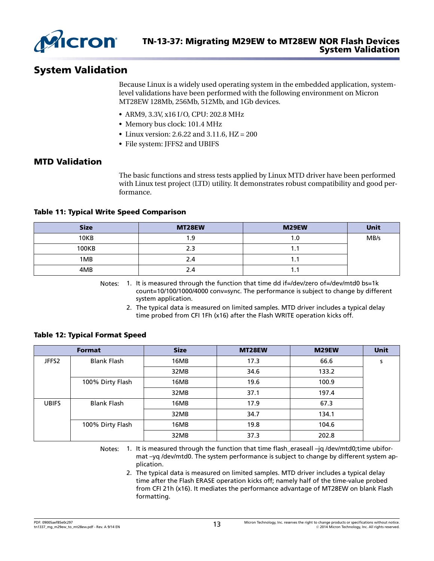

# System Validation

Because Linux is a widely used operating system in the embedded application, systemlevel validations have been performed with the following environment on Micron MT28EW 128Mb, 256Mb, 512Mb, and 1Gb devices.

- ARM9, 3.3V, x16 I/O, CPU: 202.8 MHz
- Memory bus clock: 101.4 MHz
- Linux version: 2.6.22 and 3.11.6, HZ = 200
- File system: JFFS2 and UBIFS

## MTD Validation

The basic functions and stress tests applied by Linux MTD driver have been performed with Linux test project (LTD) utility. It demonstrates robust compatibility and good performance.

#### Table 11: Typical Write Speed Comparison

| <b>Size</b> | MT28EW | M29EW | <b>Unit</b> |
|-------------|--------|-------|-------------|
| 10KB        | 9.،    | 1.0   | MB/s        |
| 100KB       | 2.3    | .     |             |
| 1MB         | 2.4    | . .   |             |
| 4MB         | 2.4    | . .   |             |

Notes: 1. It is measured through the function that time dd if=/dev/zero of=/dev/mtd0 bs=1k count=10/100/1000/4000 conv=sync. The performance is subject to change by different system application.

2. The typical data is measured on limited samples. MTD driver includes a typical delay time probed from CFI 1Fh (x16) after the Flash WRITE operation kicks off.

#### Table 12: Typical Format Speed

|              | <b>Format</b>      | <b>Size</b> | MT28EW | M29EW | Unit |
|--------------|--------------------|-------------|--------|-------|------|
| JFFS2        | <b>Blank Flash</b> | 16MB        | 17.3   | 66.6  | s    |
|              |                    | 32MB        | 34.6   | 133.2 |      |
|              | 100% Dirty Flash   | 16MB        | 19.6   | 100.9 |      |
|              |                    | 32MB        | 37.1   | 197.4 |      |
| <b>UBIFS</b> | <b>Blank Flash</b> | 16MB        | 17.9   | 67.3  |      |
|              |                    | 32MB        | 34.7   | 134.1 |      |
|              | 100% Dirty Flash   | 16MB        | 19.8   | 104.6 |      |
|              |                    | 32MB        | 37.3   | 202.8 |      |

Notes: 1. It is measured through the function that time flash\_eraseall -jq /dev/mtd0;time ubiformat –yq /dev/mtd0. The system performance is subject to change by different system application.

2. The typical data is measured on limited samples. MTD driver includes a typical delay time after the Flash ERASE operation kicks off; namely half of the time-value probed from CFI 21h (x16). It mediates the performance advantage of MT28EW on blank Flash formatting.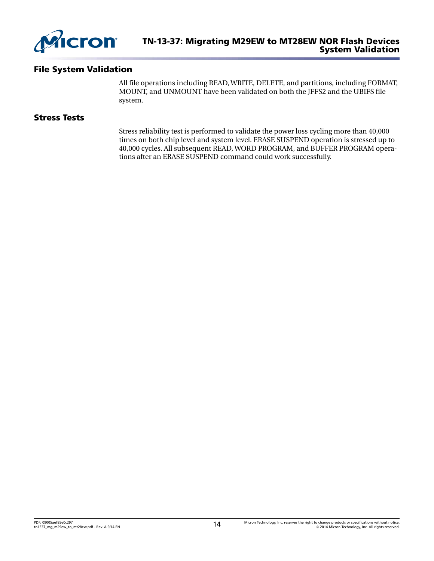

## File System Validation

All file operations including READ, WRITE, DELETE, and partitions, including FORMAT, MOUNT, and UNMOUNT have been validated on both the JFFS2 and the UBIFS file system.

## Stress Tests

Stress reliability test is performed to validate the power loss cycling more than 40,000 times on both chip level and system level. ERASE SUSPEND operation is stressed up to 40,000 cycles. All subsequent READ, WORD PROGRAM, and BUFFER PROGRAM operations after an ERASE SUSPEND command could work successfully.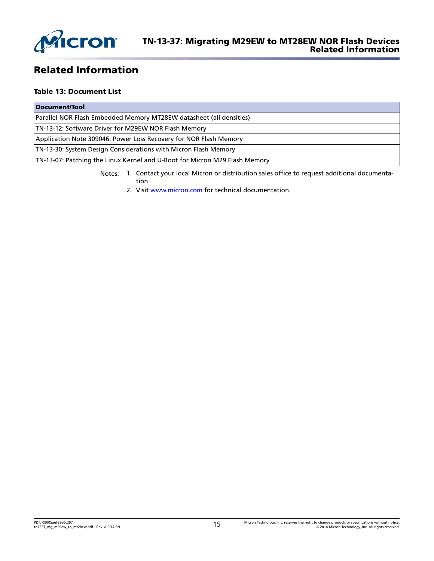

# Related Information

#### Table 13: Document List

| Document/Tool                                                              |
|----------------------------------------------------------------------------|
| Parallel NOR Flash Embedded Memory MT28EW datasheet (all densities)        |
| TN-13-12: Software Driver for M29EW NOR Flash Memory                       |
| Application Note 309046: Power Loss Recovery for NOR Flash Memory          |
| TN-13-30: System Design Considerations with Micron Flash Memory            |
| TN-13-07: Patching the Linux Kernel and U-Boot for Micron M29 Flash Memory |

Notes: 1. Contact your local Micron or distribution sales office to request additional documentation.

2. Visit [www.micron.com](http://www.micron.com) for technical documentation.